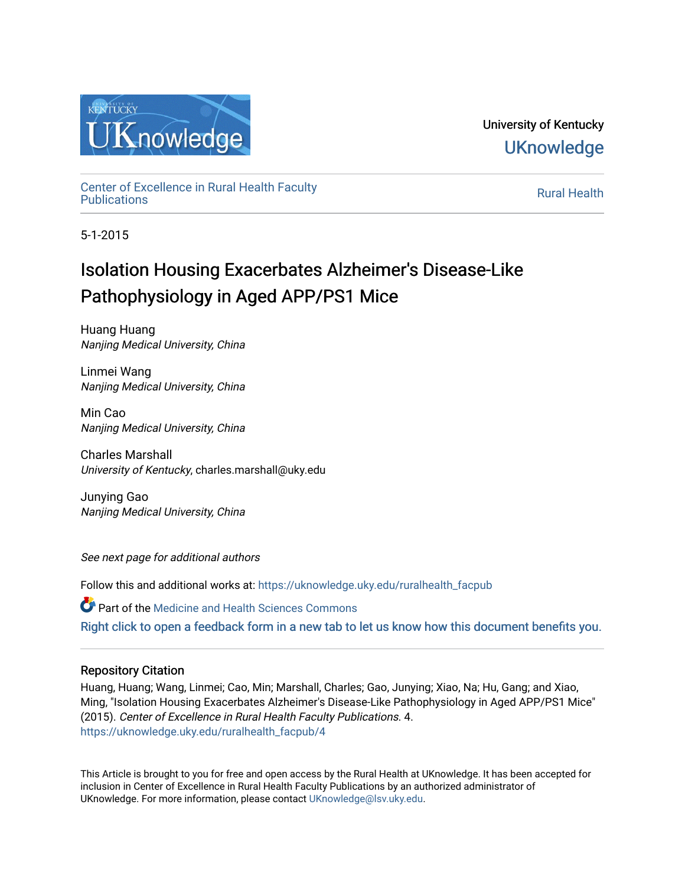

University of Kentucky **UKnowledge** 

[Center of Excellence in Rural Health Faculty](https://uknowledge.uky.edu/ruralhealth_facpub)  [Publications](https://uknowledge.uky.edu/ruralhealth_facpub) [Rural Health](https://uknowledge.uky.edu/ruralhealth) 

5-1-2015

# Isolation Housing Exacerbates Alzheimer's Disease-Like Pathophysiology in Aged APP/PS1 Mice

Huang Huang Nanjing Medical University, China

Linmei Wang Nanjing Medical University, China

Min Cao Nanjing Medical University, China

Charles Marshall University of Kentucky, charles.marshall@uky.edu

Junying Gao Nanjing Medical University, China

See next page for additional authors

Follow this and additional works at: [https://uknowledge.uky.edu/ruralhealth\\_facpub](https://uknowledge.uky.edu/ruralhealth_facpub?utm_source=uknowledge.uky.edu%2Fruralhealth_facpub%2F4&utm_medium=PDF&utm_campaign=PDFCoverPages)

Part of the [Medicine and Health Sciences Commons](http://network.bepress.com/hgg/discipline/648?utm_source=uknowledge.uky.edu%2Fruralhealth_facpub%2F4&utm_medium=PDF&utm_campaign=PDFCoverPages)  [Right click to open a feedback form in a new tab to let us know how this document benefits you.](https://uky.az1.qualtrics.com/jfe/form/SV_9mq8fx2GnONRfz7)

# Repository Citation

Huang, Huang; Wang, Linmei; Cao, Min; Marshall, Charles; Gao, Junying; Xiao, Na; Hu, Gang; and Xiao, Ming, "Isolation Housing Exacerbates Alzheimer's Disease-Like Pathophysiology in Aged APP/PS1 Mice" (2015). Center of Excellence in Rural Health Faculty Publications. 4. [https://uknowledge.uky.edu/ruralhealth\\_facpub/4](https://uknowledge.uky.edu/ruralhealth_facpub/4?utm_source=uknowledge.uky.edu%2Fruralhealth_facpub%2F4&utm_medium=PDF&utm_campaign=PDFCoverPages)

This Article is brought to you for free and open access by the Rural Health at UKnowledge. It has been accepted for inclusion in Center of Excellence in Rural Health Faculty Publications by an authorized administrator of UKnowledge. For more information, please contact [UKnowledge@lsv.uky.edu](mailto:UKnowledge@lsv.uky.edu).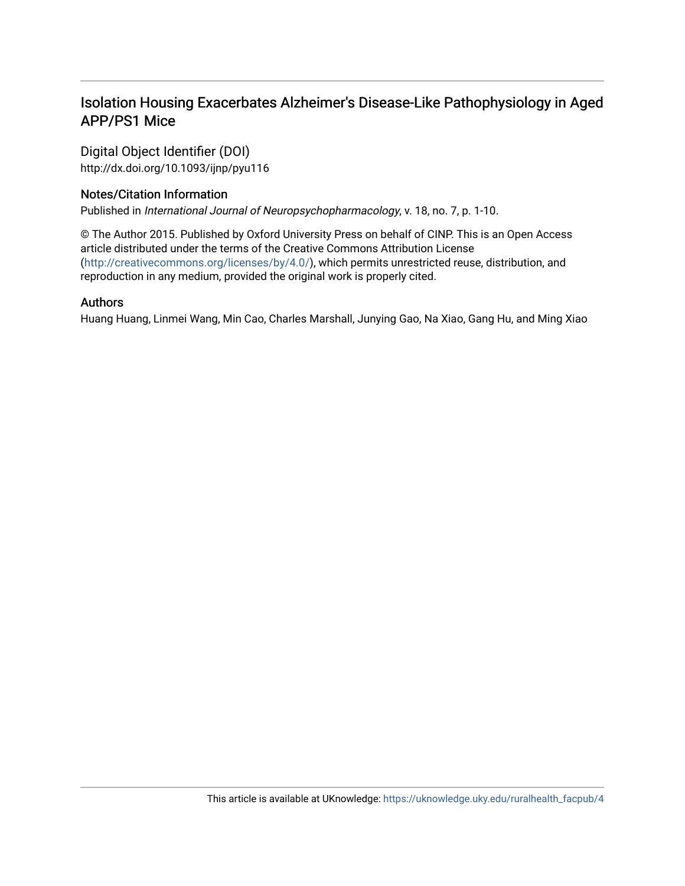# Isolation Housing Exacerbates Alzheimer's Disease-Like Pathophysiology in Aged APP/PS1 Mice

Digital Object Identifier (DOI) http://dx.doi.org/10.1093/ijnp/pyu116

# Notes/Citation Information

Published in International Journal of Neuropsychopharmacology, v. 18, no. 7, p. 1-10.

© The Author 2015. Published by Oxford University Press on behalf of CINP. This is an Open Access article distributed under the terms of the Creative Commons Attribution License [\(http://creativecommons.org/licenses/by/4.0/\)](http://creativecommons.org/licenses/by/4.0/), which permits unrestricted reuse, distribution, and reproduction in any medium, provided the original work is properly cited.

# Authors

Huang Huang, Linmei Wang, Min Cao, Charles Marshall, Junying Gao, Na Xiao, Gang Hu, and Ming Xiao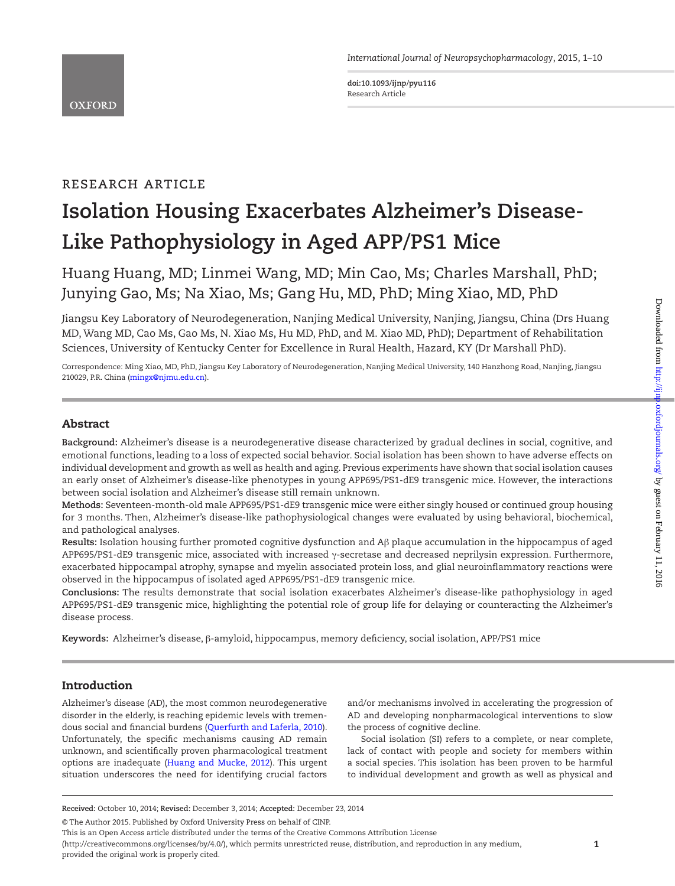**doi:10.1093/ijnp/pyu116** Research Article

# research article

# **Isolation Housing Exacerbates Alzheimer's Disease-Like Pathophysiology in Aged APP/PS1 Mice**

Huang Huang, MD; Linmei Wang, MD; Min Cao, Ms; Charles Marshall, PhD; Junying Gao, Ms; Na Xiao, Ms; Gang Hu, MD, PhD; Ming Xiao, MD, PhD

Jiangsu Key Laboratory of Neurodegeneration, Nanjing Medical University, Nanjing, Jiangsu, China (Drs Huang MD, Wang MD, Cao Ms, Gao Ms, N. Xiao Ms, Hu MD, PhD, and M. Xiao MD, PhD); Department of Rehabilitation Sciences, University of Kentucky Center for Excellence in Rural Health, Hazard, KY (Dr Marshall PhD).

Correspondence: Ming Xiao, MD, PhD, Jiangsu Key Laboratory of Neurodegeneration, Nanjing Medical University, 140 Hanzhong Road, Nanjing, Jiangsu 210029, P.R. China ([mingx@njmu.edu.cn\)](mailto:mingx@njmu.edu.cn?subject=).

# Abstract

**Background:** Alzheimer's disease is a neurodegenerative disease characterized by gradual declines in social, cognitive, and emotional functions, leading to a loss of expected social behavior. Social isolation has been shown to have adverse effects on individual development and growth as well as health and aging. Previous experiments have shown that social isolation causes an early onset of Alzheimer's disease-like phenotypes in young APP695/PS1-dE9 transgenic mice. However, the interactions between social isolation and Alzheimer's disease still remain unknown.

**Methods:** Seventeen-month-old male APP695/PS1-dE9 transgenic mice were either singly housed or continued group housing for 3 months. Then, Alzheimer's disease-like pathophysiological changes were evaluated by using behavioral, biochemical, and pathological analyses.

**Results:** Isolation housing further promoted cognitive dysfunction and Aβ plaque accumulation in the hippocampus of aged APP695/PS1-dE9 transgenic mice, associated with increased γ-secretase and decreased neprilysin expression. Furthermore, exacerbated hippocampal atrophy, synapse and myelin associated protein loss, and glial neuroinflammatory reactions were observed in the hippocampus of isolated aged APP695/PS1-dE9 transgenic mice.

**Conclusions:** The results demonstrate that social isolation exacerbates Alzheimer's disease-like pathophysiology in aged APP695/PS1-dE9 transgenic mice, highlighting the potential role of group life for delaying or counteracting the Alzheimer's disease process.

**Keywords:** Alzheimer's disease, β-amyloid, hippocampus, memory deficiency, social isolation, APP/PS1 mice

# Introduction

Alzheimer's disease (AD), the most common neurodegenerative disorder in the elderly, is reaching epidemic levels with tremendous social and financial burdens [\(Querfurth and Laferla, 2010](#page-11-0)). Unfortunately, the specific mechanisms causing AD remain unknown, and scientifically proven pharmacological treatment options are inadequate ([Huang and Mucke, 2012](#page-10-0)). This urgent situation underscores the need for identifying crucial factors

and/or mechanisms involved in accelerating the progression of AD and developing nonpharmacological interventions to slow the process of cognitive decline.

Social isolation (SI) refers to a complete, or near complete, lack of contact with people and society for members within a social species. This isolation has been proven to be harmful to individual development and growth as well as physical and

This is an Open Access article distributed under the terms of the Creative Commons Attribution License

(http://creativecommons.org/licenses/by/4.0/), which permits unrestricted reuse, distribution, and reproduction in any medium, provided the original work is properly cited.

**Received:** October 10, 2014; **Revised:** December 3, 2014; **Accepted:** December 23, 2014

<sup>©</sup> The Author 2015. Published by Oxford University Press on behalf of CINP.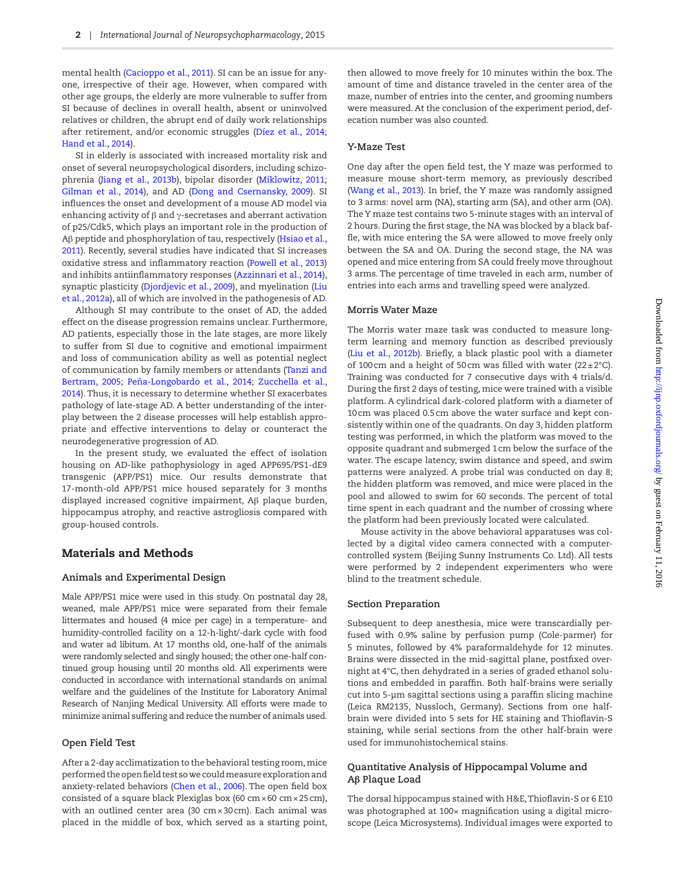mental health [\(Cacioppo et al., 2011\)](#page-10-1). SI can be an issue for anyone, irrespective of their age. However, when compared with other age groups, the elderly are more vulnerable to suffer from SI because of declines in overall health, absent or uninvolved relatives or children, the abrupt end of daily work relationships after retirement, and/or economic struggles ([Díez et al., 2014;](#page-10-2) [Hand et al., 2014](#page-10-3)).

SI in elderly is associated with increased mortality risk and onset of several neuropsychological disorders, including schizophrenia ([Jiang et al., 2013b\)](#page-10-4), bipolar disorder ([Miklowitz, 2011;](#page-11-1) [Gilman et al., 2014\)](#page-10-5), and AD [\(Dong and Csernansky, 2009\)](#page-10-6). SI influences the onset and development of a mouse AD model via enhancing activity of β and γ-secretases and aberrant activation of p25/Cdk5, which plays an important role in the production of Aβ peptide and phosphorylation of tau, respectively ([Hsiao et al.,](#page-10-7)  [2011](#page-10-7)). Recently, several studies have indicated that SI increases oxidative stress and inflammatory reaction [\(Powell et al., 2013](#page-11-2)) and inhibits antiinflammatory responses ([Azzinnari et al., 2014](#page-9-0)), synaptic plasticity ([Djordjevic et al., 2009](#page-10-8)), and myelination [\(Liu](#page-11-3)  [et al., 2012a\)](#page-11-3), all of which are involved in the pathogenesis of AD.

Although SI may contribute to the onset of AD, the added effect on the disease progression remains unclear. Furthermore, AD patients, especially those in the late stages, are more likely to suffer from SI due to cognitive and emotional impairment and loss of communication ability as well as potential neglect of communication by family members or attendants [\(Tanzi and](#page-11-4)  [Bertram, 2005;](#page-11-4) [Peña-Longobardo et al., 2014](#page-11-5); [Zucchella et al.,](#page-11-6)  [2014](#page-11-6)). Thus, it is necessary to determine whether SI exacerbates pathology of late-stage AD. A better understanding of the interplay between the 2 disease processes will help establish appropriate and effective interventions to delay or counteract the neurodegenerative progression of AD.

In the present study, we evaluated the effect of isolation housing on AD-like pathophysiology in aged APP695/PS1-dE9 transgenic (APP/PS1) mice. Our results demonstrate that 17-month-old APP/PS1 mice housed separately for 3 months displayed increased cognitive impairment, Aβ plaque burden, hippocampus atrophy, and reactive astrogliosis compared with group-housed controls.

# Materials and Methods

#### **Animals and Experimental Design**

Male APP/PS1 mice were used in this study. On postnatal day 28, weaned, male APP/PS1 mice were separated from their female littermates and housed (4 mice per cage) in a temperature- and humidity-controlled facility on a 12-h-light/-dark cycle with food and water ad libitum. At 17 months old, one-half of the animals were randomly selected and singly housed; the other one-half continued group housing until 20 months old. All experiments were conducted in accordance with international standards on animal welfare and the guidelines of the Institute for Laboratory Animal Research of Nanjing Medical University. All efforts were made to minimize animal suffering and reduce the number of animals used.

#### **Open Field Test**

After a 2-day acclimatization to the behavioral testing room, mice performed the open field test so we could measure exploration and anxiety-related behaviors [\(Chen et al., 2006\)](#page-10-9). The open field box consisted of a square black Plexiglas box (60  $\text{cm} \times 60 \text{ cm} \times 25 \text{ cm}$ ), with an outlined center area (30 cm × 30 cm). Each animal was placed in the middle of box, which served as a starting point,

then allowed to move freely for 10 minutes within the box. The amount of time and distance traveled in the center area of the maze, number of entries into the center, and grooming numbers were measured. At the conclusion of the experiment period, defecation number was also counted.

#### **Y-Maze Test**

One day after the open field test, the Y maze was performed to measure mouse short-term memory, as previously described ([Wang et al., 2013\)](#page-11-7). In brief, the Y maze was randomly assigned to 3 arms: novel arm (NA), starting arm (SA), and other arm (OA). The Y maze test contains two 5-minute stages with an interval of 2 hours. During the first stage, the NA was blocked by a black baffle, with mice entering the SA were allowed to move freely only between the SA and OA. During the second stage, the NA was opened and mice entering from SA could freely move throughout 3 arms. The percentage of time traveled in each arm, number of entries into each arms and travelling speed were analyzed.

#### **Morris Water Maze**

The Morris water maze task was conducted to measure longterm learning and memory function as described previously ([Liu et al., 2012b\)](#page-11-8). Briefly, a black plastic pool with a diameter of 100cm and a height of 50cm was filled with water ( $22 \pm 2^{\circ}$ C). Training was conducted for 7 consecutive days with 4 trials/d. During the first 2 days of testing, mice were trained with a visible platform. A cylindrical dark-colored platform with a diameter of 10cm was placed 0.5cm above the water surface and kept consistently within one of the quadrants. On day 3, hidden platform testing was performed, in which the platform was moved to the opposite quadrant and submerged 1cm below the surface of the water. The escape latency, swim distance and speed, and swim patterns were analyzed. A probe trial was conducted on day 8; the hidden platform was removed, and mice were placed in the pool and allowed to swim for 60 seconds. The percent of total time spent in each quadrant and the number of crossing where the platform had been previously located were calculated.

Mouse activity in the above behavioral apparatuses was collected by a digital video camera connected with a computercontrolled system (Beijing Sunny Instruments Co. Ltd). All tests were performed by 2 independent experimenters who were blind to the treatment schedule.

#### **Section Preparation**

Subsequent to deep anesthesia, mice were transcardially perfused with 0.9% saline by perfusion pump (Cole-parmer) for 5 minutes, followed by 4% paraformaldehyde for 12 minutes. Brains were dissected in the mid-sagittal plane, postfixed overnight at 4°C, then dehydrated in a series of graded ethanol solutions and embedded in paraffin. Both half-brains were serially cut into 5-µm sagittal sections using a paraffin slicing machine (Leica RM2135, Nussloch, Germany). Sections from one halfbrain were divided into 5 sets for HE staining and Thioflavin-S staining, while serial sections from the other half-brain were used for immunohistochemical stains.

#### **Quantitative Analysis of Hippocampal Volume and Aβ Plaque Load**

The dorsal hippocampus stained with H&E, Thioflavin-S or 6 E10 was photographed at 100× magnification using a digital microscope (Leica Microsystems). Individual images were exported to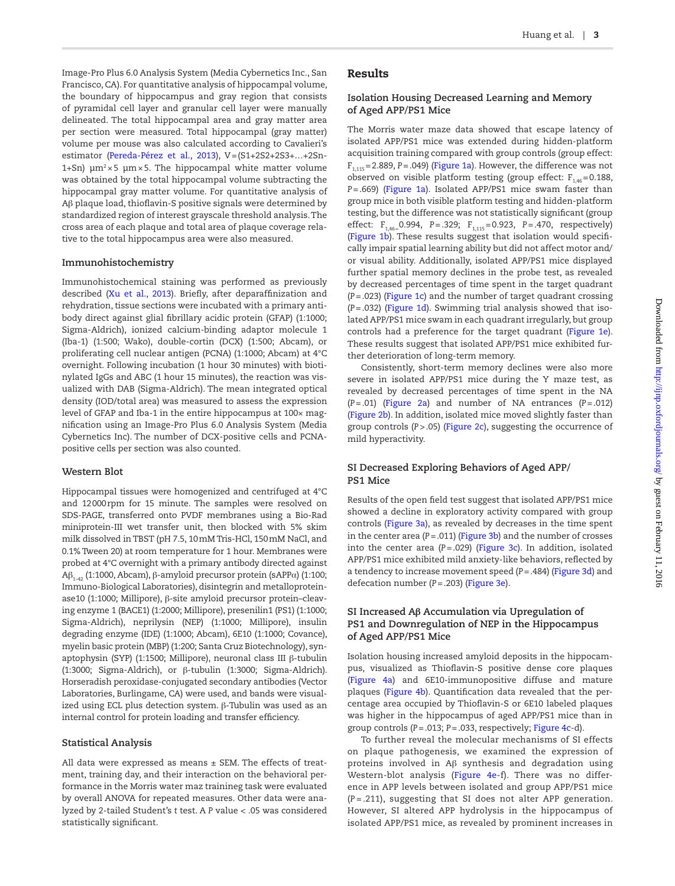Image-Pro Plus 6.0 Analysis System (Media Cybernetics Inc., San Francisco, CA). For quantitative analysis of hippocampal volume, the boundary of hippocampus and gray region that consists of pyramidal cell layer and granular cell layer were manually delineated. The total hippocampal area and gray matter area per section were measured. Total hippocampal (gray matter) volume per mouse was also calculated according to Cavalieri's estimator ([Pereda-Pérez et al., 2013](#page-11-9)), V=(S1+2S2+2S3+…+2Sn-1+Sn)  $\mu$ m<sup>2</sup>×5  $\mu$ m × 5. The hippocampal white matter volume was obtained by the total hippocampal volume subtracting the hippocampal gray matter volume. For quantitative analysis of Aβ plaque load, thioflavin-S positive signals were determined by standardized region of interest grayscale threshold analysis. The cross area of each plaque and total area of plaque coverage relative to the total hippocampus area were also measured.

#### **Immunohistochemistry**

Immunohistochemical staining was performed as previously described ([Xu et al., 2013](#page-11-7)). Briefly, after deparaffinization and rehydration, tissue sections were incubated with a primary antibody direct against glial fibrillary acidic protein (GFAP) (1:1000; Sigma-Aldrich), ionized calcium-binding adaptor molecule 1 (Iba-1) (1:500; Wako), double-cortin (DCX) (1:500; Abcam), or proliferating cell nuclear antigen (PCNA) (1:1000; Abcam) at 4°C overnight. Following incubation (1 hour 30 minutes) with biotinylated IgGs and ABC (1 hour 15 minutes), the reaction was visualized with DAB (Sigma-Aldrich). The mean integrated optical density (IOD/total area) was measured to assess the expression level of GFAP and Iba-1 in the entire hippocampus at 100× magnification using an Image-Pro Plus 6.0 Analysis System (Media Cybernetics Inc). The number of DCX-positive cells and PCNApositive cells per section was also counted.

#### **Western Blot**

Hippocampal tissues were homogenized and centrifuged at 4°C and 12000rpm for 15 minute. The samples were resolved on SDS-PAGE, transferred onto PVDF membranes using a Bio-Rad miniprotein-III wet transfer unit, then blocked with 5% skim milk dissolved in TBST (pH 7.5, 10mM Tris-HCl, 150mM NaCl, and 0.1% Tween 20) at room temperature for 1 hour. Membranes were probed at 4°C overnight with a primary antibody directed against Aβ<sub>1-42</sub> (1:1000, Abcam), β-amyloid precursor protein (sAPPα) (1:100; Immuno-Biological Laboratories), disintegrin and metalloproteinase10 (1:1000; Millipore), β-site amyloid precursor protein–cleaving enzyme 1 (BACE1) (1:2000; Millipore), presenilin1 (PS1) (1:1000; Sigma-Aldrich), neprilysin (NEP) (1:1000; Millipore), insulin degrading enzyme (IDE) (1:1000; Abcam), 6E10 (1:1000; Covance), myelin basic protein (MBP) (1:200; Santa Cruz Biotechnology), synaptophysin (SYP) (1:1500; Millipore), neuronal class III β-tubulin (1:3000; Sigma-Aldrich), or β-tubulin (1:3000; Sigma-Aldrich). Horseradish peroxidase-conjugated secondary antibodies (Vector Laboratories, Burlingame, CA) were used, and bands were visualized using ECL plus detection system. β-Tubulin was used as an internal control for protein loading and transfer efficiency.

#### **Statistical Analysis**

All data were expressed as means  $\pm$  SEM. The effects of treatment, training day, and their interaction on the behavioral performance in the Morris water maz trainineg task were evaluated by overall ANOVA for repeated measures. Other data were analyzed by 2-tailed Student's *t* test. A *P* value < .05 was considered statistically significant.

### Results

## **Isolation Housing Decreased Learning and Memory of Aged APP/PS1 Mice**

The Morris water maze data showed that escape latency of isolated APP/PS1 mice was extended during hidden-platform acquisition training compared with group controls (group effect:  $F_{1,115}$ =2.889, *P*=.049) ([Figure 1a](#page-5-0)). However, the difference was not observed on visible platform testing (group effect:  $F_{1,46}=0.188$ , *P*=.669) [\(Figure 1a\)](#page-5-0). Isolated APP/PS1 mice swam faster than group mice in both visible platform testing and hidden-platform testing, but the difference was not statistically significant (group effect: F<sub>1,46=</sub>0.994, P=.329; F<sub>1,115</sub>=0.923, P=.470, respectively) ([Figure 1b](#page-5-0)). These results suggest that isolation would specifically impair spatial learning ability but did not affect motor and/ or visual ability. Additionally, isolated APP/PS1 mice displayed further spatial memory declines in the probe test, as revealed by decreased percentages of time spent in the target quadrant (*P*=.023) [\(Figure 1c](#page-5-0)) and the number of target quadrant crossing (*P*=.032) ([Figure 1d](#page-5-0)). Swimming trial analysis showed that isolated APP/PS1 mice swam in each quadrant irregularly, but group controls had a preference for the target quadrant [\(Figure 1e](#page-5-0)). These results suggest that isolated APP/PS1 mice exhibited further deterioration of long-term memory.

Consistently, short-term memory declines were also more severe in isolated APP/PS1 mice during the Y maze test, as revealed by decreased percentages of time spent in the NA (*P*=.01) [\(Figure 2a\)](#page-5-1) and number of NA entrances (*P*=.012) ([Figure 2b](#page-5-1)). In addition, isolated mice moved slightly faster than group controls (*P*>.05) ([Figure 2c\)](#page-5-1), suggesting the occurrence of mild hyperactivity.

# **SI Decreased Exploring Behaviors of Aged APP/ PS1 Mice**

Results of the open field test suggest that isolated APP/PS1 mice showed a decline in exploratory activity compared with group controls ([Figure 3a](#page-6-0)), as revealed by decreases in the time spent in the center area (*P=*.011) ([Figure 3b\)](#page-6-0) and the number of crosses into the center area (*P*=.029) [\(Figure 3c\)](#page-6-0). In addition, isolated APP/PS1 mice exhibited mild anxiety-like behaviors, reflected by a tendency to increase movement speed (*P*=.484) [\(Figure 3d](#page-6-0)) and defecation number (*P*=.203) ([Figure 3e](#page-6-0)).

### **SI Increased Aβ Accumulation via Upregulation of PS1 and Downregulation of NEP in the Hippocampus of Aged APP/PS1 Mice**

Isolation housing increased amyloid deposits in the hippocampus, visualized as Thioflavin-S positive dense core plaques ([Figure 4a](#page-6-1)) and 6E10-immunopositive diffuse and mature plaques [\(Figure 4b\)](#page-6-1). Quantification data revealed that the percentage area occupied by Thioflavin-S or 6E10 labeled plaques was higher in the hippocampus of aged APP/PS1 mice than in group controls (*P*=.013; *P*=.033, respectively; [Figure 4c-](#page-6-1)d).

To further reveal the molecular mechanisms of SI effects on plaque pathogenesis, we examined the expression of proteins involved in Aβ synthesis and degradation using Western-blot analysis ([Figure 4e-](#page-6-1)f). There was no difference in APP levels between isolated and group APP/PS1 mice (*P* = .211), suggesting that SI does not alter APP generation. However, SI altered APP hydrolysis in the hippocampus of isolated APP/PS1 mice, as revealed by prominent increases in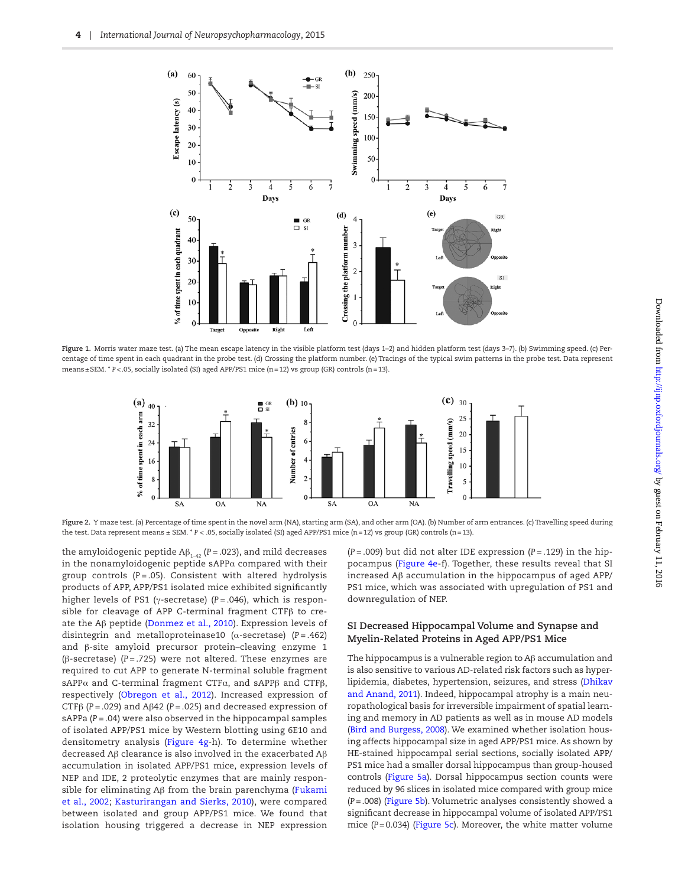

Figure 1. Morris water maze test. (a) The mean escape latency in the visible platform test (days 1-2) and hidden platform test (days 3-7). (b) Swimming speed. (c) Percentage of time spent in each quadrant in the probe test. (d) Crossing the platform number. (e) Tracings of the typical swim patterns in the probe test. Data represent means±SEM. \* *P*<.05, socially isolated (SI) aged APP/PS1 mice (n=12) vs group (GR) controls (n=13).

<span id="page-5-1"></span><span id="page-5-0"></span>

**Figure 2.** Y maze test. (a) Percentage of time spent in the novel arm (NA), starting arm (SA), and other arm (OA). (b) Number of arm entrances. (c) Travelling speed during the test. Data represent means ± SEM. \* *P* < .05, socially isolated (SI) aged APP/PS1 mice (n=12) vs group (GR) controls (n=13).

the amyloidogenic peptide  $A\beta_{1\rightarrow 2}$  (*P* = .023), and mild decreases in the nonamyloidogenic peptide sAPP $\alpha$  compared with their group controls (*P* = .05). Consistent with altered hydrolysis products of APP, APP/PS1 isolated mice exhibited significantly higher levels of PS1 (γ-secretase) (*P* = .046), which is responsible for cleavage of APP C-terminal fragment CTFβ to create the Aβ peptide [\(Donmez et al., 2010\)](#page-10-10). Expression levels of disintegrin and metalloproteinase10 (α-secretase) (*P* = .462) and β-site amyloid precursor protein–cleaving enzyme 1 (β-secretase) (*P* = .725) were not altered. These enzymes are required to cut APP to generate N-terminal soluble fragment sAPP $\alpha$  and C-terminal fragment CTF $\alpha$ , and sAPP $\beta$  and CTF $\beta$ , respectively ([Obregon et al., 2012\)](#page-11-10). Increased expression of CTFβ (*P* = .029) and Aβ42 (*P* = .025) and decreased expression of sAPPa ( $P = .04$ ) were also observed in the hippocampal samples of isolated APP/PS1 mice by Western blotting using 6E10 and densitometry analysis ([Figure 4g-](#page-6-1)h). To determine whether decreased Aβ clearance is also involved in the exacerbated Aβ accumulation in isolated APP/PS1 mice, expression levels of NEP and IDE, 2 proteolytic enzymes that are mainly responsible for eliminating Aβ from the brain parenchyma [\(Fukami](#page-10-11)  [et al., 2002](#page-10-11); [Kasturirangan and Sierks, 2010\)](#page-10-12), were compared between isolated and group APP/PS1 mice. We found that isolation housing triggered a decrease in NEP expression

(*P* = .009) but did not alter IDE expression (*P* = .129) in the hippocampus [\(Figure 4e](#page-6-1)-f). Together, these results reveal that SI increased Aβ accumulation in the hippocampus of aged APP/ PS1 mice, which was associated with upregulation of PS1 and downregulation of NEP.

## **SI Decreased Hippocampal Volume and Synapse and Myelin-Related Proteins in Aged APP/PS1 Mice**

The hippocampus is a vulnerable region to Aβ accumulation and is also sensitive to various AD-related risk factors such as hyperlipidemia, diabetes, hypertension, seizures, and stress ([Dhikav](#page-10-13)  [and Anand, 2011](#page-10-13)). Indeed, hippocampal atrophy is a main neuropathological basis for irreversible impairment of spatial learning and memory in AD patients as well as in mouse AD models ([Bird and Burgess, 2008](#page-10-14)). We examined whether isolation housing affects hippocampal size in aged APP/PS1 mice. As shown by HE-stained hippocampal serial sections, socially isolated APP/ PS1 mice had a smaller dorsal hippocampus than group-housed controls [\(Figure 5a\)](#page-7-0). Dorsal hippocampus section counts were reduced by 96 slices in isolated mice compared with group mice (*P*=.008) [\(Figure 5b](#page-7-0)). Volumetric analyses consistently showed a significant decrease in hippocampal volume of isolated APP/PS1 mice (*P*=0.034) ([Figure 5c](#page-7-0)). Moreover, the white matter volume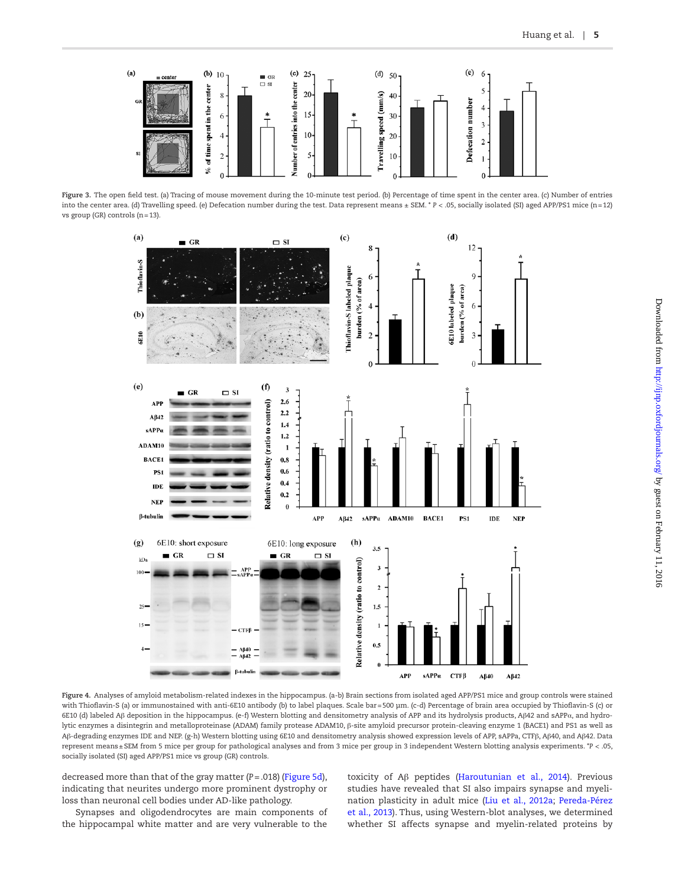

**Figure 3.** The open field test. (a) Tracing of mouse movement during the 10-minute test period. (b) Percentage of time spent in the center area. (c) Number of entries into the center area. (d) Travelling speed. (e) Defecation number during the test. Data represent means ± SEM. \* *P* < .05, socially isolated (SI) aged APP/PS1 mice (n=12) vs group (GR) controls (n=13).

<span id="page-6-0"></span>

<span id="page-6-1"></span>**Figure 4.** Analyses of amyloid metabolism-related indexes in the hippocampus. (a-b) Brain sections from isolated aged APP/PS1 mice and group controls were stained with Thioflavin-S (a) or immunostained with anti-6E10 antibody (b) to label plaques. Scale bar=500 μm. (c-d) Percentage of brain area occupied by Thioflavin-S (c) or 6E10 (d) labeled Aβ deposition in the hippocampus. (e-f) Western blotting and densitometry analysis of APP and its hydrolysis products, Aβ42 and sAPPα, and hydrolytic enzymes a disintegrin and metalloproteinase (ADAM) family protease ADAM10, β-site amyloid precursor protein-cleaving enzyme 1 (BACE1) and PS1 as well as Aβ-degrading enzymes IDE and NEP. (g-h) Western blotting using 6E10 and densitometry analysis showed expression levels of APP, sAPPa, CTFβ, Aβ40, and Aβ42. Data represent means±SEM from 5 mice per group for pathological analyses and from 3 mice per group in 3 independent Western blotting analysis experiments. \**P* < .05, socially isolated (SI) aged APP/PS1 mice vs group (GR) controls.

decreased more than that of the gray matter (*P*=.018) [\(Figure 5d](#page-7-0)), indicating that neurites undergo more prominent dystrophy or loss than neuronal cell bodies under AD-like pathology.

Synapses and oligodendrocytes are main components of the hippocampal white matter and are very vulnerable to the

toxicity of Aβ peptides [\(Haroutunian et al., 2014](#page-10-15)). Previous studies have revealed that SI also impairs synapse and myelination plasticity in adult mice ([Liu et al., 2012a;](#page-11-3) [Pereda-Pérez](#page-11-9)  [et al., 2013](#page-11-9)). Thus, using Western-blot analyses, we determined whether SI affects synapse and myelin-related proteins by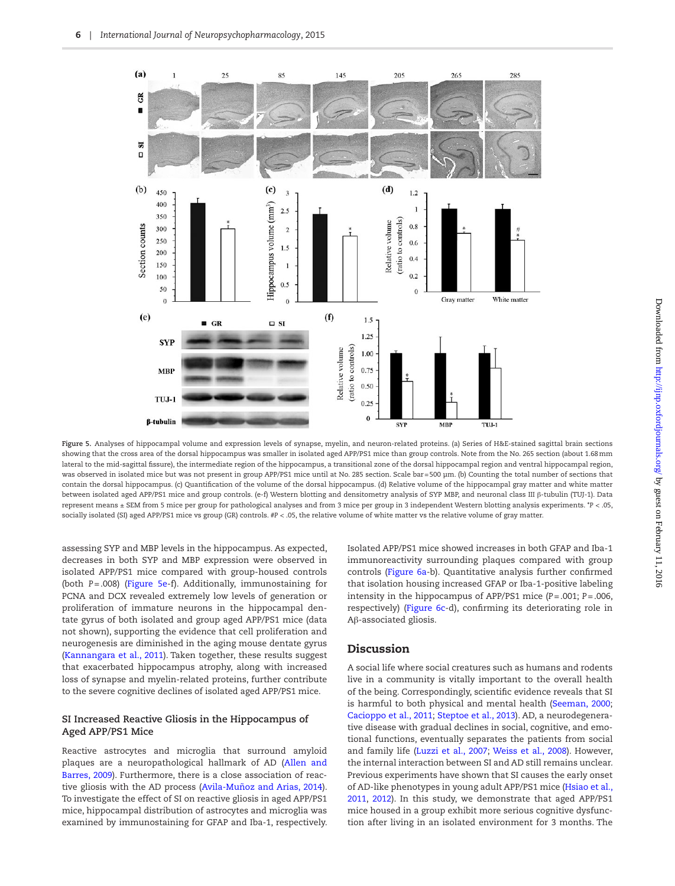

<span id="page-7-0"></span>**Figure 5.** Analyses of hippocampal volume and expression levels of synapse, myelin, and neuron-related proteins. (a) Series of H&E-stained sagittal brain sections showing that the cross area of the dorsal hippocampus was smaller in isolated aged APP/PS1 mice than group controls. Note from the No. 265 section (about 1.68mm lateral to the mid-sagittal fissure), the intermediate region of the hippocampus, a transitional zone of the dorsal hippocampal region and ventral hippocampal region, was observed in isolated mice but was not present in group APP/PS1 mice until at No. 285 section. Scale bar = 500 μm. (b) Counting the total number of sections that contain the dorsal hippocampus. (c) Quantification of the volume of the dorsal hippocampus. (d) Relative volume of the hippocampal gray matter and white matter between isolated aged APP/PS1 mice and group controls. (e-f) Western blotting and densitometry analysis of SYP MBP, and neuronal class III β-tubulin (TUJ-1). Data represent means ± SEM from 5 mice per group for pathological analyses and from 3 mice per group in 3 independent Western blotting analysis experiments. \**P* < .05, socially isolated (SI) aged APP/PS1 mice vs group (GR) controls. #*P* < .05, the relative volume of white matter vs the relative volume of gray matter.

assessing SYP and MBP levels in the hippocampus. As expected, decreases in both SYP and MBP expression were observed in isolated APP/PS1 mice compared with group-housed controls (both *P*=.008) [\(Figure 5e-](#page-7-0)f). Additionally, immunostaining for PCNA and DCX revealed extremely low levels of generation or proliferation of immature neurons in the hippocampal dentate gyrus of both isolated and group aged APP/PS1 mice (data not shown), supporting the evidence that cell proliferation and neurogenesis are diminished in the aging mouse dentate gyrus ([Kannangara et al., 2011](#page-10-16)). Taken together, these results suggest that exacerbated hippocampus atrophy, along with increased loss of synapse and myelin-related proteins, further contribute to the severe cognitive declines of isolated aged APP/PS1 mice.

#### **SI Increased Reactive Gliosis in the Hippocampus of Aged APP/PS1 Mice**

Reactive astrocytes and microglia that surround amyloid plaques are a neuropathological hallmark of AD ([Allen and](#page-9-1)  [Barres, 2009](#page-9-1)). Furthermore, there is a close association of reactive gliosis with the AD process [\(Avila-Muñoz and Arias, 2014](#page-9-2)). To investigate the effect of SI on reactive gliosis in aged APP/PS1 mice, hippocampal distribution of astrocytes and microglia was examined by immunostaining for GFAP and Iba-1, respectively.

Isolated APP/PS1 mice showed increases in both GFAP and Iba-1 immunoreactivity surrounding plaques compared with group controls [\(Figure 6a](#page-8-0)-b). Quantitative analysis further confirmed that isolation housing increased GFAP or Iba-1-positive labeling intensity in the hippocampus of APP/PS1 mice (*P*=.001; *P*=.006, respectively) ([Figure 6c-](#page-8-0)d), confirming its deteriorating role in Aβ-associated gliosis.

# Discussion

A social life where social creatures such as humans and rodents live in a community is vitally important to the overall health of the being. Correspondingly, scientific evidence reveals that SI is harmful to both physical and mental health ([Seeman, 2000;](#page-11-11) [Cacioppo et al., 2011;](#page-10-1) [Steptoe et al., 2013\)](#page-11-12). AD, a neurodegenerative disease with gradual declines in social, cognitive, and emotional functions, eventually separates the patients from social and family life [\(Luzzi et al., 2007](#page-11-13); [Weiss et al., 2008\)](#page-11-14). However, the internal interaction between SI and AD still remains unclear. Previous experiments have shown that SI causes the early onset of AD-like phenotypes in young adult APP/PS1 mice ([Hsiao et al.,](#page-10-7)  [2011](#page-10-7), [2012](#page-10-17)). In this study, we demonstrate that aged APP/PS1 mice housed in a group exhibit more serious cognitive dysfunction after living in an isolated environment for 3 months. The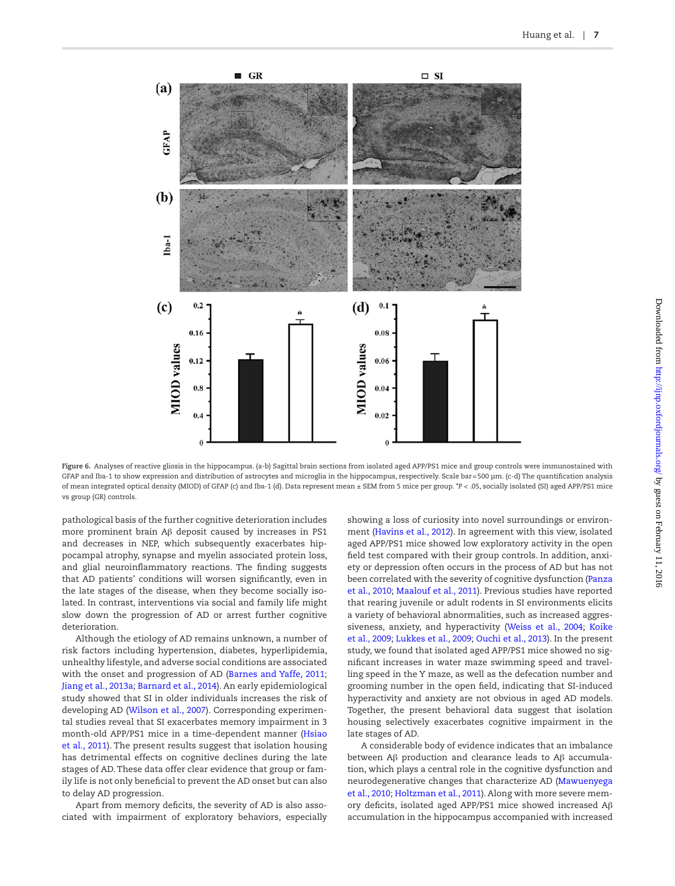

**Figure 6.** Analyses of reactive gliosis in the hippocampus. (a-b) Sagittal brain sections from isolated aged APP/PS1 mice and group controls were immunostained with GFAP and Iba-1 to show expression and distribution of astrocytes and microglia in the hippocampus, respectively. Scale bar=500 μm. (c-d) The quantification analysis of mean integrated optical density (MIOD) of GFAP (c) and Iba-1 (d). Data represent mean ± SEM from 5 mice per group. \**P* < .05, socially isolated (SI) aged APP/PS1 mice vs group (GR) controls.

pathological basis of the further cognitive deterioration includes more prominent brain Aβ deposit caused by increases in PS1 and decreases in NEP, which subsequently exacerbates hippocampal atrophy, synapse and myelin associated protein loss, and glial neuroinflammatory reactions. The finding suggests that AD patients' conditions will worsen significantly, even in the late stages of the disease, when they become socially isolated. In contrast, interventions via social and family life might slow down the progression of AD or arrest further cognitive deterioration.

Although the etiology of AD remains unknown, a number of risk factors including hypertension, diabetes, hyperlipidemia, unhealthy lifestyle, and adverse social conditions are associated with the onset and progression of AD ([Barnes and Yaffe, 2011;](#page-9-3) [Jiang et al., 2013a;](#page-10-18) [Barnard et al., 2014](#page-9-4)). An early epidemiological study showed that SI in older individuals increases the risk of developing AD ([Wilson et al., 2007\)](#page-11-15). Corresponding experimental studies reveal that SI exacerbates memory impairment in 3 month-old APP/PS1 mice in a time-dependent manner ([Hsiao](#page-10-7)  [et al., 2011](#page-10-7)). The present results suggest that isolation housing has detrimental effects on cognitive declines during the late stages of AD. These data offer clear evidence that group or family life is not only beneficial to prevent the AD onset but can also to delay AD progression.

Apart from memory deficits, the severity of AD is also associated with impairment of exploratory behaviors, especially

<span id="page-8-0"></span>showing a loss of curiosity into novel surroundings or environment ([Havins et al., 2012\)](#page-10-19). In agreement with this view, isolated aged APP/PS1 mice showed low exploratory activity in the open field test compared with their group controls. In addition, anxiety or depression often occurs in the process of AD but has not been correlated with the severity of cognitive dysfunction ([Panza](#page-11-16)  [et al., 2010](#page-11-16); [Maalouf et al., 2011\)](#page-11-17). Previous studies have reported that rearing juvenile or adult rodents in SI environments elicits a variety of behavioral abnormalities, such as increased aggressiveness, anxiety, and hyperactivity ([Weiss et al., 2004](#page-11-18); [Koike](#page-10-20)  [et al., 2009](#page-10-20); [Lukkes et al., 2009](#page-11-19); [Ouchi et al., 2013\)](#page-11-20). In the present study, we found that isolated aged APP/PS1 mice showed no significant increases in water maze swimming speed and travelling speed in the Y maze, as well as the defecation number and grooming number in the open field, indicating that SI-induced hyperactivity and anxiety are not obvious in aged AD models. Together, the present behavioral data suggest that isolation housing selectively exacerbates cognitive impairment in the late stages of AD.

A considerable body of evidence indicates that an imbalance between Aβ production and clearance leads to Aβ accumulation, which plays a central role in the cognitive dysfunction and neurodegenerative changes that characterize AD ([Mawuenyega](#page-11-21)  [et al., 2010;](#page-11-21) [Holtzman et al., 2011\)](#page-10-21). Along with more severe memory deficits, isolated aged APP/PS1 mice showed increased Aβ accumulation in the hippocampus accompanied with increased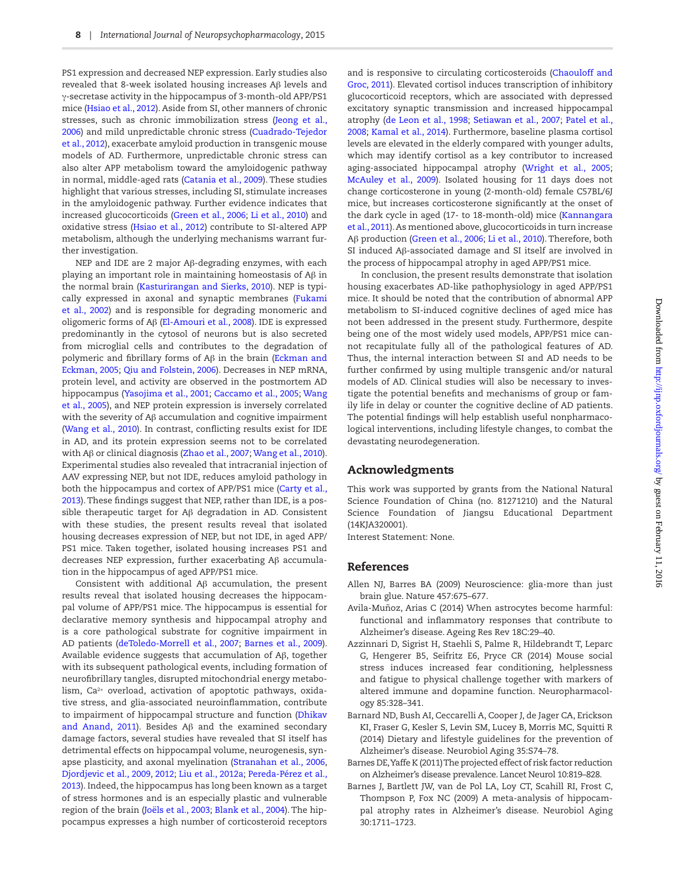PS1 expression and decreased NEP expression. Early studies also revealed that 8-week isolated housing increases Aβ levels and γ-secretase activity in the hippocampus of 3-month-old APP/PS1 mice ([Hsiao et al., 2012](#page-10-17)). Aside from SI, other manners of chronic stresses, such as chronic immobilization stress ([Jeong et al.,](#page-10-22)  [2006](#page-10-22)) and mild unpredictable chronic stress [\(Cuadrado-Tejedor](#page-10-23)  [et al., 2012\)](#page-10-23), exacerbate amyloid production in transgenic mouse models of AD. Furthermore, unpredictable chronic stress can also alter APP metabolism toward the amyloidogenic pathway in normal, middle-aged rats [\(Catania et al., 2009\)](#page-10-24). These studies highlight that various stresses, including SI, stimulate increases in the amyloidogenic pathway. Further evidence indicates that increased glucocorticoids [\(Green et al., 2006;](#page-10-25) [Li et al., 2010\)](#page-10-26) and oxidative stress ([Hsiao et al., 2012](#page-10-17)) contribute to SI-altered APP metabolism, although the underlying mechanisms warrant further investigation.

NEP and IDE are 2 major Aβ-degrading enzymes, with each playing an important role in maintaining homeostasis of Aβ in the normal brain [\(Kasturirangan and Sierks, 2010](#page-10-12)). NEP is typically expressed in axonal and synaptic membranes [\(Fukami](#page-10-11)  [et al., 2002\)](#page-10-11) and is responsible for degrading monomeric and oligomeric forms of Aβ [\(El-Amouri et al., 2008](#page-10-27)). IDE is expressed predominantly in the cytosol of neurons but is also secreted from microglial cells and contributes to the degradation of polymeric and fibrillary forms of Aβ in the brain [\(Eckman and](#page-10-28)  [Eckman, 2005;](#page-10-28) [Qiu and Folstein, 2006\)](#page-11-22). Decreases in NEP mRNA, protein level, and activity are observed in the postmortem AD hippocampus ([Yasojima et al., 2001;](#page-11-23) [Caccamo et al., 2005;](#page-10-29) [Wang](#page-11-24)  [et al., 2005](#page-11-24)), and NEP protein expression is inversely correlated with the severity of Aβ accumulation and cognitive impairment ([Wang et al., 2010\)](#page-10-10). In contrast, conflicting results exist for IDE in AD, and its protein expression seems not to be correlated with Aβ or clinical diagnosis ([Zhao et al., 2007](#page-11-25); [Wang et al., 2010](#page-10-10)). Experimental studies also revealed that intracranial injection of AAV expressing NEP, but not IDE, reduces amyloid pathology in both the hippocampus and cortex of APP/PS1 mice ([Carty et al.,](#page-10-30)  [2013](#page-10-30)). These findings suggest that NEP, rather than IDE, is a possible therapeutic target for Aβ degradation in AD. Consistent with these studies, the present results reveal that isolated housing decreases expression of NEP, but not IDE, in aged APP/ PS1 mice. Taken together, isolated housing increases PS1 and decreases NEP expression, further exacerbating Aβ accumulation in the hippocampus of aged APP/PS1 mice.

Consistent with additional Aβ accumulation, the present results reveal that isolated housing decreases the hippocampal volume of APP/PS1 mice. The hippocampus is essential for declarative memory synthesis and hippocampal atrophy and is a core pathological substrate for cognitive impairment in AD patients [\(deToledo-Morrell et al., 2007;](#page-10-31) [Barnes et al., 2009](#page-9-5)). Available evidence suggests that accumulation of Aβ, together with its subsequent pathological events, including formation of neurofibrillary tangles, disrupted mitochondrial energy metabolism, Ca<sup>2+</sup> overload, activation of apoptotic pathways, oxidative stress, and glia-associated neuroinflammation, contribute to impairment of hippocampal structure and function ([Dhikav](#page-10-13)  [and Anand, 2011](#page-10-13)). Besides Aβ and the examined secondary damage factors, several studies have revealed that SI itself has detrimental effects on hippocampal volume, neurogenesis, synapse plasticity, and axonal myelination ([Stranahan et al., 2006,](#page-11-26) [Djordjevic et al., 2009,](#page-10-8) [2012;](#page-10-32) [Liu et al., 2012a;](#page-11-3) [Pereda-Pérez et al.,](#page-11-9)  [2013](#page-11-9)). Indeed, the hippocampus has long been known as a target of stress hormones and is an especially plastic and vulnerable region of the brain [\(Joëls et al., 2003](#page-10-33); [Blank et al., 2004](#page-10-34)). The hippocampus expresses a high number of corticosteroid receptors

and is responsive to circulating corticosteroids ([Chaouloff and](#page-10-35)  [Groc, 2011](#page-10-35)). Elevated cortisol induces transcription of inhibitory glucocorticoid receptors, which are associated with depressed excitatory synaptic transmission and increased hippocampal atrophy [\(de Leon et al., 1998;](#page-10-36) [Setiawan et al., 2007](#page-11-27); [Patel et al.,](#page-11-28)  [2008](#page-11-28); [Kamal et al., 2014](#page-10-37)). Furthermore, baseline plasma cortisol levels are elevated in the elderly compared with younger adults, which may identify cortisol as a key contributor to increased aging-associated hippocampal atrophy [\(Wright et al., 2005;](#page-11-29) [McAuley et al., 2009\)](#page-11-30). Isolated housing for 11 days does not change corticosterone in young (2-month-old) female C57BL/6J mice, but increases corticosterone significantly at the onset of the dark cycle in aged (17- to 18-month-old) mice ([Kannangara](#page-10-16)  [et al., 2011\)](#page-10-16). As mentioned above, glucocorticoids in turn increase Aβ production ([Green et al., 2006](#page-10-25); [Li et al., 2010](#page-10-26)). Therefore, both SI induced Aβ-associated damage and SI itself are involved in the process of hippocampal atrophy in aged APP/PS1 mice.

In conclusion, the present results demonstrate that isolation housing exacerbates AD-like pathophysiology in aged APP/PS1 mice. It should be noted that the contribution of abnormal APP metabolism to SI-induced cognitive declines of aged mice has not been addressed in the present study. Furthermore, despite being one of the most widely used models, APP/PS1 mice cannot recapitulate fully all of the pathological features of AD. Thus, the internal interaction between SI and AD needs to be further confirmed by using multiple transgenic and/or natural models of AD. Clinical studies will also be necessary to investigate the potential benefits and mechanisms of group or family life in delay or counter the cognitive decline of AD patients. The potential findings will help establish useful nonpharmacological interventions, including lifestyle changes, to combat the devastating neurodegeneration.

# Acknowledgments

This work was supported by grants from the National Natural Science Foundation of China (no. 81271210) and the Natural Science Foundation of Jiangsu Educational Department (14KJA320001).

Interest Statement: None.

#### References

- <span id="page-9-1"></span>Allen NJ, Barres BA (2009) Neuroscience: glia-more than just brain glue. Nature 457:675–677.
- <span id="page-9-2"></span>Avila-Muñoz, Arias C (2014) When astrocytes become harmful: functional and inflammatory responses that contribute to Alzheimer's disease. Ageing Res Rev 18C:29–40.
- <span id="page-9-0"></span>Azzinnari D, Sigrist H, Staehli S, Palme R, Hildebrandt T, Leparc G, Hengerer B5, Seifritz E6, Pryce CR (2014) Mouse social stress induces increased fear conditioning, helplessness and fatigue to physical challenge together with markers of altered immune and dopamine function. Neuropharmacology 85:328–341.
- <span id="page-9-4"></span>Barnard ND, Bush AI, Ceccarelli A, Cooper J, de Jager CA, Erickson KI, Fraser G, Kesler S, Levin SM, Lucey B, Morris MC, Squitti R (2014) Dietary and lifestyle guidelines for the prevention of Alzheimer's disease. Neurobiol Aging 35:S74–78.
- <span id="page-9-3"></span>Barnes DE, Yaffe K (2011) The projected effect of risk factor reduction on Alzheimer's disease prevalence. Lancet Neurol 10:819–828.
- <span id="page-9-5"></span>Barnes J, Bartlett JW, van de Pol LA, Loy CT, Scahill RI, Frost C, Thompson P, Fox NC (2009) A meta-analysis of hippocampal atrophy rates in Alzheimer's disease. Neurobiol Aging 30:1711–1723.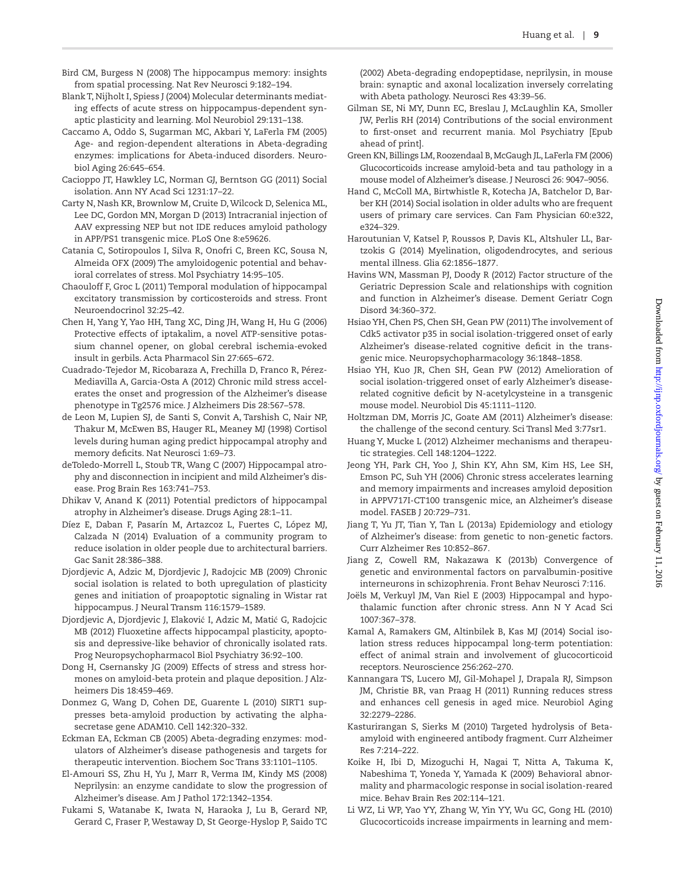- <span id="page-10-14"></span>Bird CM, Burgess N (2008) The hippocampus memory: insights from spatial processing. Nat Rev Neurosci 9:182–194.
- <span id="page-10-34"></span>Blank T, Nijholt I, Spiess J (2004) Molecular determinants mediating effects of acute stress on hippocampus-dependent synaptic plasticity and learning. Mol Neurobiol 29:131–138.
- <span id="page-10-29"></span>Caccamo A, Oddo S, Sugarman MC, Akbari Y, LaFerla FM (2005) Age- and region-dependent alterations in Abeta-degrading enzymes: implications for Abeta-induced disorders. Neurobiol Aging 26:645–654.
- <span id="page-10-1"></span>Cacioppo JT, Hawkley LC, Norman GJ, Berntson GG (2011) Social isolation. Ann NY Acad Sci 1231:17–22.
- <span id="page-10-30"></span>Carty N, Nash KR, Brownlow M, Cruite D, Wilcock D, Selenica ML, Lee DC, Gordon MN, Morgan D (2013) Intracranial injection of AAV expressing NEP but not IDE reduces amyloid pathology in APP/PS1 transgenic mice. PLoS One 8:e59626.
- <span id="page-10-24"></span>Catania C, Sotiropoulos I, Silva R, Onofri C, Breen KC, Sousa N, Almeida OFX (2009) The amyloidogenic potential and behavioral correlates of stress. Mol Psychiatry 14:95–105.
- <span id="page-10-35"></span>Chaouloff F, Groc L (2011) Temporal modulation of hippocampal excitatory transmission by corticosteroids and stress. Front Neuroendocrinol 32:25–42.
- <span id="page-10-9"></span>Chen H, Yang Y, Yao HH, Tang XC, Ding JH, Wang H, Hu G (2006) Protective effects of iptakalim, a novel ATP-sensitive potassium channel opener, on global cerebral ischemia-evoked insult in gerbils. Acta Pharmacol Sin 27:665–672.
- <span id="page-10-23"></span>Cuadrado-Tejedor M, Ricobaraza A, Frechilla D, Franco R, Pérez-Mediavilla A, Garcia-Osta A (2012) Chronic mild stress accelerates the onset and progression of the Alzheimer's disease phenotype in Tg2576 mice. J Alzheimers Dis 28:567–578.
- <span id="page-10-36"></span>de Leon M, Lupien SJ, de Santi S, Convit A, Tarshish C, Nair NP, Thakur M, McEwen BS, Hauger RL, Meaney MJ (1998) Cortisol levels during human aging predict hippocampal atrophy and memory deficits. Nat Neurosci 1:69–73.
- <span id="page-10-31"></span>deToledo-Morrell L, Stoub TR, Wang C (2007) Hippocampal atrophy and disconnection in incipient and mild Alzheimer's disease. Prog Brain Res 163:741–753.
- <span id="page-10-13"></span>Dhikav V, Anand K (2011) Potential predictors of hippocampal atrophy in Alzheimer's disease. Drugs Aging 28:1–11.
- <span id="page-10-2"></span>Díez E, Daban F, Pasarín M, Artazcoz L, Fuertes C, López MJ, Calzada N (2014) Evaluation of a community program to reduce isolation in older people due to architectural barriers. Gac Sanit 28:386–388.
- <span id="page-10-8"></span>Djordjevic A, Adzic M, Djordjevic J, Radojcic MB (2009) Chronic social isolation is related to both upregulation of plasticity genes and initiation of proapoptotic signaling in Wistar rat hippocampus. J Neural Transm 116:1579–1589.
- <span id="page-10-32"></span>Djordjevic A, Djordjevic J, Elaković I, Adzic M, Matić G, Radojcic MB (2012) Fluoxetine affects hippocampal plasticity, apoptosis and depressive-like behavior of chronically isolated rats. Prog Neuropsychopharmacol Biol Psychiatry 36:92–100.
- <span id="page-10-6"></span>Dong H, Csernansky JG (2009) Effects of stress and stress hormones on amyloid-beta protein and plaque deposition. J Alzheimers Dis 18:459–469.
- <span id="page-10-10"></span>Donmez G, Wang D, Cohen DE, Guarente L (2010) SIRT1 suppresses beta-amyloid production by activating the alphasecretase gene ADAM10. Cell 142:320–332.
- <span id="page-10-28"></span>Eckman EA, Eckman CB (2005) Abeta-degrading enzymes: modulators of Alzheimer's disease pathogenesis and targets for therapeutic intervention. Biochem Soc Trans 33:1101–1105.
- <span id="page-10-27"></span>El-Amouri SS, Zhu H, Yu J, Marr R, Verma IM, Kindy MS (2008) Neprilysin: an enzyme candidate to slow the progression of Alzheimer's disease. Am J Pathol 172:1342–1354.
- <span id="page-10-11"></span>Fukami S, Watanabe K, Iwata N, Haraoka J, Lu B, Gerard NP, Gerard C, Fraser P, Westaway D, St George-Hyslop P, Saido TC

(2002) Abeta-degrading endopeptidase, neprilysin, in mouse brain: synaptic and axonal localization inversely correlating with Abeta pathology. Neurosci Res 43:39–56.

- <span id="page-10-5"></span>Gilman SE, Ni MY, Dunn EC, Breslau J, McLaughlin KA, Smoller JW, Perlis RH (2014) Contributions of the social environment to first-onset and recurrent mania. Mol Psychiatry [Epub ahead of print].
- <span id="page-10-25"></span>Green KN, Billings LM, Roozendaal B, McGaugh JL, LaFerla FM (2006) Glucocorticoids increase amyloid-beta and tau pathology in a mouse model of Alzheimer's disease. J Neurosci 26: 9047–9056.
- <span id="page-10-3"></span>Hand C, McColl MA, Birtwhistle R, Kotecha JA, Batchelor D, Barber KH (2014) Social isolation in older adults who are frequent users of primary care services. Can Fam Physician 60:e322, e324–329.
- <span id="page-10-15"></span>Haroutunian V, Katsel P, Roussos P, Davis KL, Altshuler LL, Bartzokis G (2014) Myelination, oligodendrocytes, and serious mental illness. Glia 62:1856–1877.
- <span id="page-10-19"></span>Havins WN, Massman PJ, Doody R (2012) Factor structure of the Geriatric Depression Scale and relationships with cognition and function in Alzheimer's disease. Dement Geriatr Cogn Disord 34:360–372.
- <span id="page-10-7"></span>Hsiao YH, Chen PS, Chen SH, Gean PW (2011) The involvement of Cdk5 activator p35 in social isolation-triggered onset of early Alzheimer's disease-related cognitive deficit in the transgenic mice. Neuropsychopharmacology 36:1848–1858.
- <span id="page-10-17"></span>Hsiao YH, Kuo JR, Chen SH, Gean PW (2012) Amelioration of social isolation-triggered onset of early Alzheimer's diseaserelated cognitive deficit by N-acetylcysteine in a transgenic mouse model. Neurobiol Dis 45:1111–1120.
- <span id="page-10-21"></span>Holtzman DM, Morris JC, Goate AM (2011) Alzheimer's disease: the challenge of the second century. Sci Transl Med 3:77sr1.
- <span id="page-10-0"></span>Huang Y, Mucke L (2012) Alzheimer mechanisms and therapeutic strategies. Cell 148:1204–1222.
- <span id="page-10-22"></span>Jeong YH, Park CH, Yoo J, Shin KY, Ahn SM, Kim HS, Lee SH, Emson PC, Suh YH (2006) Chronic stress accelerates learning and memory impairments and increases amyloid deposition in APPV717I-CT100 transgenic mice, an Alzheimer's disease model. FASEB J 20:729–731.
- <span id="page-10-18"></span>Jiang T, Yu JT, Tian Y, Tan L (2013a) Epidemiology and etiology of Alzheimer's disease: from genetic to non-genetic factors. Curr Alzheimer Res 10:852–867.
- <span id="page-10-4"></span>Jiang Z, Cowell RM, Nakazawa K (2013b) Convergence of genetic and environmental factors on parvalbumin-positive interneurons in schizophrenia. Front Behav Neurosci 7:116.
- <span id="page-10-33"></span>Joëls M, Verkuyl JM, Van Riel E (2003) Hippocampal and hypothalamic function after chronic stress. Ann N Y Acad Sci 1007:367–378.
- <span id="page-10-37"></span>Kamal A, Ramakers GM, Altinbilek B, Kas MJ (2014) Social isolation stress reduces hippocampal long-term potentiation: effect of animal strain and involvement of glucocorticoid receptors. Neuroscience 256:262–270.
- <span id="page-10-16"></span>Kannangara TS, Lucero MJ, Gil-Mohapel J, Drapala RJ, Simpson JM, Christie BR, van Praag H (2011) Running reduces stress and enhances cell genesis in aged mice. Neurobiol Aging 32:2279–2286.
- <span id="page-10-12"></span>Kasturirangan S, Sierks M (2010) Targeted hydrolysis of Betaamyloid with engineered antibody fragment. Curr Alzheimer Res 7:214–222.
- <span id="page-10-20"></span>Koike H, Ibi D, Mizoguchi H, Nagai T, Nitta A, Takuma K, Nabeshima T, Yoneda Y, Yamada K (2009) Behavioral abnormality and pharmacologic response in social isolation-reared mice. Behav Brain Res 202:114–121.
- <span id="page-10-26"></span>Li WZ, Li WP, Yao YY, Zhang W, Yin YY, Wu GC, Gong HL (2010) Glucocorticoids increase impairments in learning and mem-